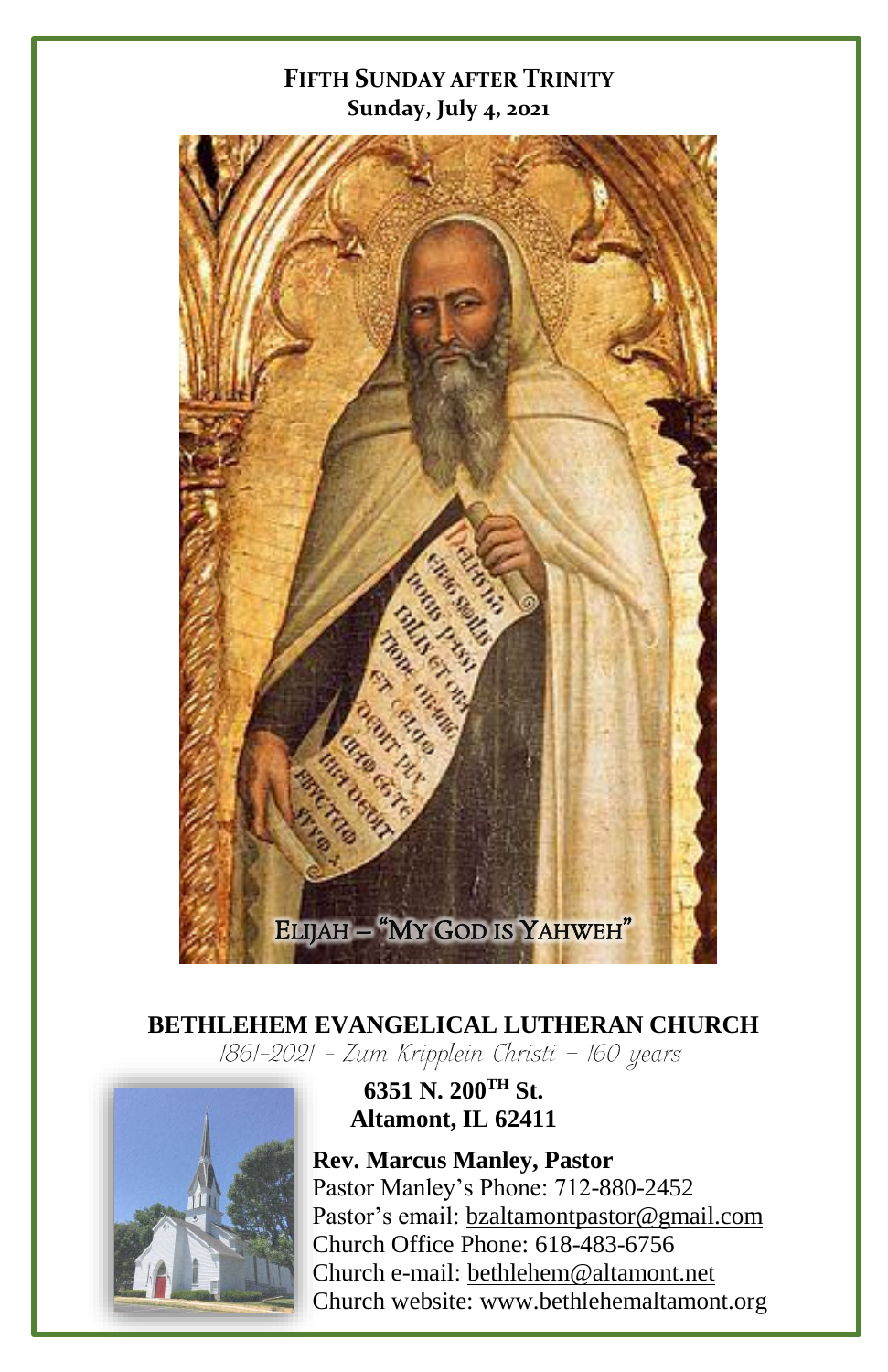#### **FIFTH SUNDAY AFTER TRINITY Sunday, July 4, 2021**



# **BETHLEHEM EVANGELICAL LUTHERAN CHURCH**<br>[861-2021 - Zum Kripplein Christi - 160 years]



### **6351 N. 200TH St. Altamont, IL 62411**

**Rev. Marcus Manley, Pastor** Pastor Manley's Phone: 712-880-2452 Pastor's email[: bzaltamontpastor@gmail.com](mailto:bzaltamontpastor@gmail.com) Church Office Phone: 618-483-6756 Church e-mail: [bethlehem@altamont.net](mailto:bethlehem@altamont.net)  Church website: [www.bethlehemaltamont.org](http://www.bethlehemaltamont.org/)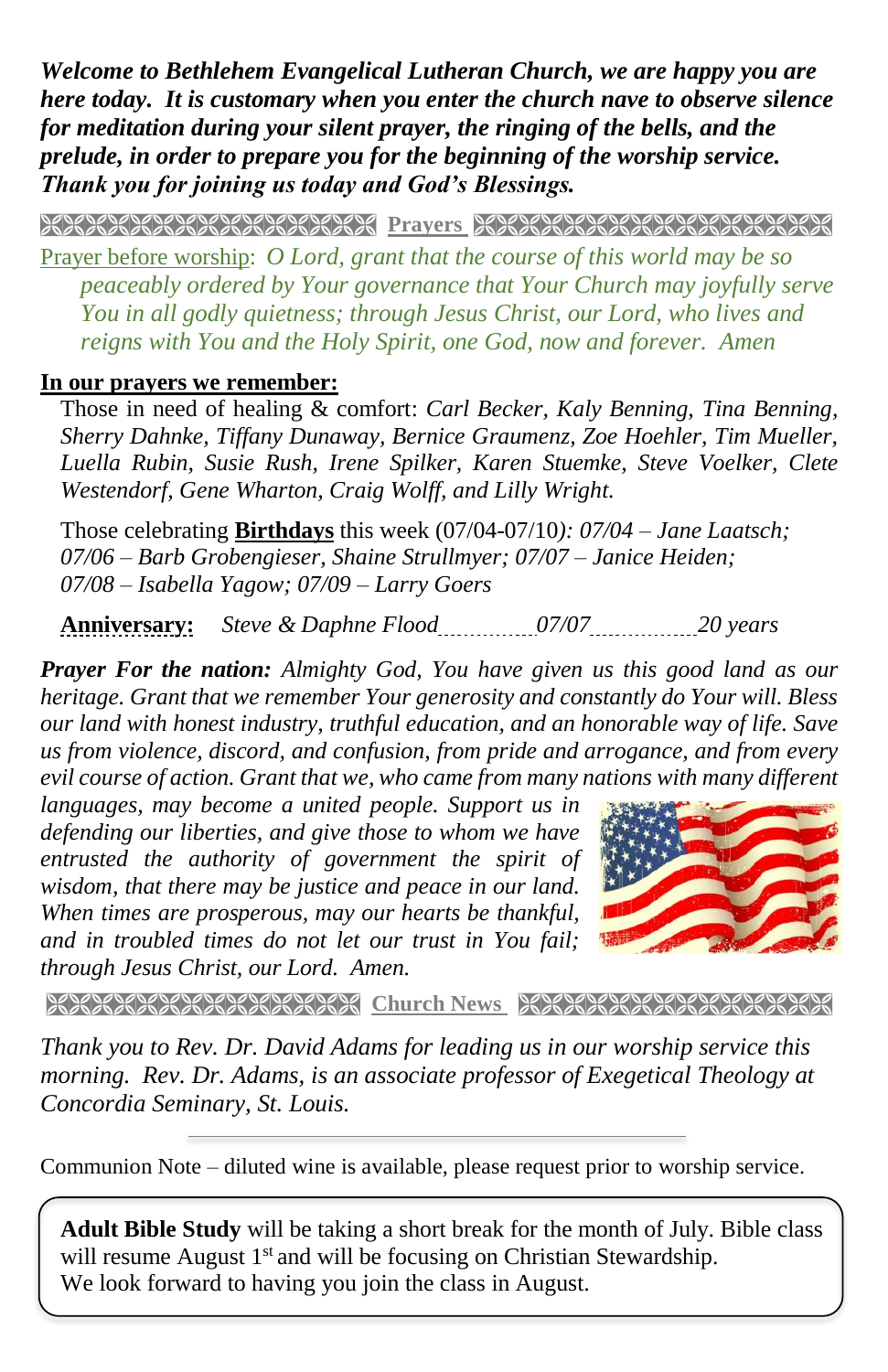*Welcome to Bethlehem Evangelical Lutheran Church, we are happy you are here today. It is customary when you enter the church nave to observe silence for meditation during your silent prayer, the ringing of the bells, and the prelude, in order to prepare you for the beginning of the worship service. Thank you for joining us today and God's Blessings.*

**PRAYERS AND REAL PROPERTY AND PROPERTY AND REAL PROPERTY** 

Prayer before worship: *O Lord, grant that the course of this world may be so peaceably ordered by Your governance that Your Church may joyfully serve You in all godly quietness; through Jesus Christ, our Lord, who lives and reigns with You and the Holy Spirit, one God, now and forever. Amen* 

#### **In our prayers we remember:**

Those in need of healing & comfort: *Carl Becker, Kaly Benning, Tina Benning, Sherry Dahnke, Tiffany Dunaway, Bernice Graumenz, Zoe Hoehler, Tim Mueller, Luella Rubin, Susie Rush, Irene Spilker, Karen Stuemke, Steve Voelker, Clete Westendorf, Gene Wharton, Craig Wolff, and Lilly Wright.*

Those celebrating **Birthdays** this week (07/04-07/10*): 07/04 – Jane Laatsch; 07/06 – Barb Grobengieser, Shaine Strullmyer; 07/07 – Janice Heiden; 07/08 – Isabella Yagow; 07/09 – Larry Goers*

**Anniversary:** *Steve & Daphne Flood 07/07 20 years*

*Prayer For the nation: Almighty God, You have given us this good land as our heritage. Grant that we remember Your generosity and constantly do Your will. Bless our land with honest industry, truthful education, and an honorable way of life. Save us from violence, discord, and confusion, from pride and arrogance, and from every evil course of action. Grant that we, who came from many nations with many different* 

*languages, may become a united people. Support us in defending our liberties, and give those to whom we have entrusted the authority of government the spirit of wisdom, that there may be justice and peace in our land. When times are prosperous, may our hearts be thankful, and in troubled times do not let our trust in You fail; through Jesus Christ, our Lord. Amen.*



**Church News Stranger News Representation And March 1998** 

*Thank you to Rev. Dr. David Adams for leading us in our worship service this morning. Rev. Dr. Adams, is an associate professor of Exegetical Theology at Concordia Seminary, St. Louis.*

Communion Note – diluted wine is available, please request prior to worship service.

**Adult Bible Study** will be taking a short break for the month of July. Bible class will resume August 1<sup>st</sup> and will be focusing on Christian Stewardship. We look forward to having you join the class in August.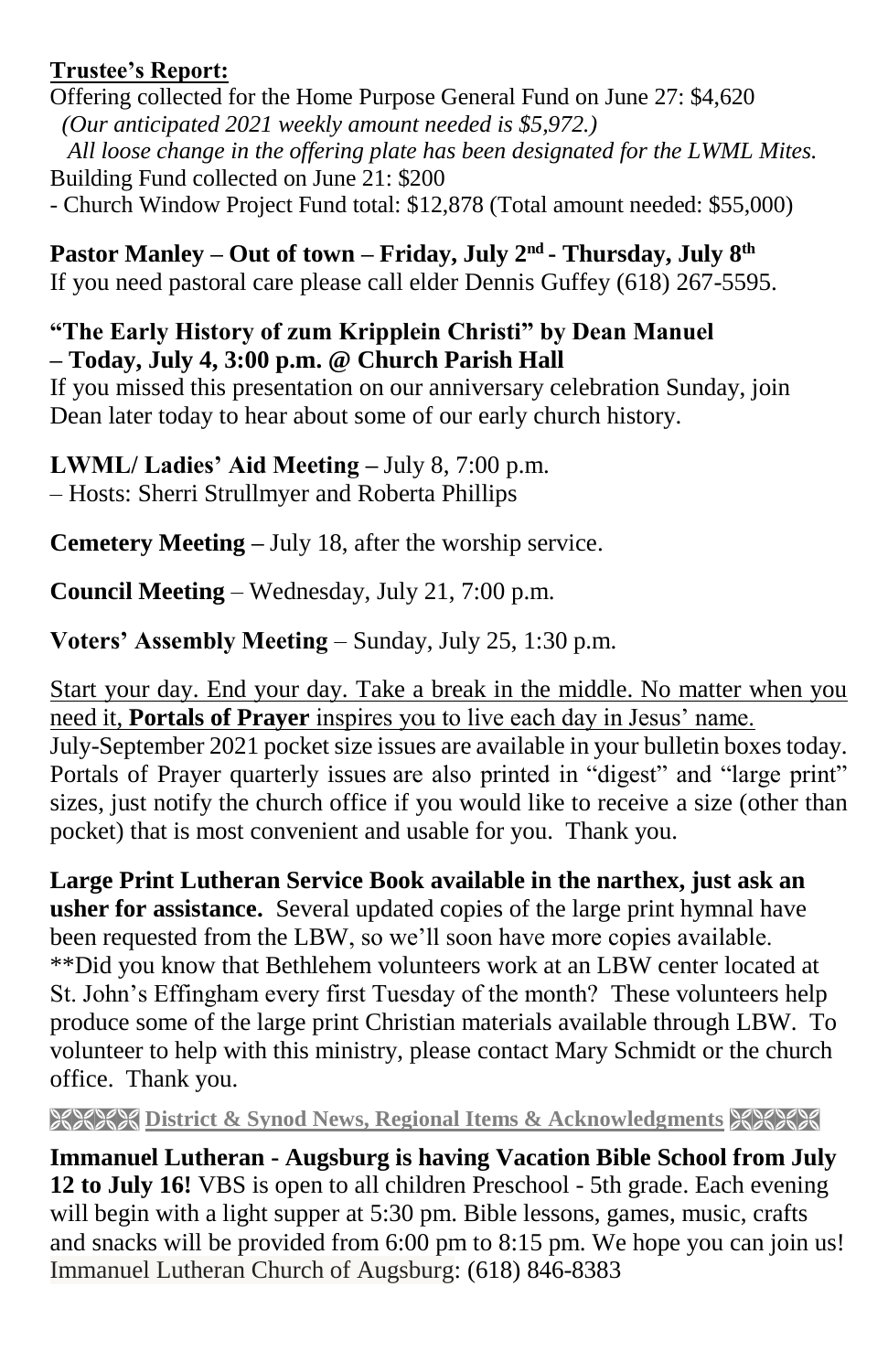#### **Trustee's Report:**

Offering collected for the Home Purpose General Fund on June 27: \$4,620  *(Our anticipated 2021 weekly amount needed is \$5,972.) All loose change in the offering plate has been designated for the LWML Mites.* Building Fund collected on June 21: \$200 - Church Window Project Fund total: \$12,878 (Total amount needed: \$55,000)

**Pastor Manley – Out of town – Friday, July 2nd - Thursday, July 8 th** If you need pastoral care please call elder Dennis Guffey (618) 267-5595.

#### **"The Early History of zum Kripplein Christi" by Dean Manuel – Today, July 4, 3:00 p.m. @ Church Parish Hall**

If you missed this presentation on our anniversary celebration Sunday, join Dean later today to hear about some of our early church history.

**LWML/ Ladies' Aid Meeting –** July 8, 7:00 p.m.

– Hosts: Sherri Strullmyer and Roberta Phillips

**Cemetery Meeting –** July 18, after the worship service.

**Council Meeting** – Wednesday, July 21, 7:00 p.m.

**Voters' Assembly Meeting** – Sunday, July 25, 1:30 p.m.

Start your day. End your day. Take a break in the middle. No matter when you need it, **Portals of Prayer** inspires you to live each day in Jesus' name. July-September 2021 pocket size issues are available in your bulletin boxes today. Portals of Prayer quarterly issues are also printed in "digest" and "large print" sizes, just notify the church office if you would like to receive a size (other than pocket) that is most convenient and usable for you. Thank you.

**Large Print Lutheran Service Book available in the narthex, just ask an usher for assistance.** Several updated copies of the large print hymnal have been requested from the LBW, so we'll soon have more copies available. \*\*Did you know that Bethlehem volunteers work at an LBW center located at St. John's Effingham every first Tuesday of the month? These volunteers help produce some of the large print Christian materials available through LBW. To volunteer to help with this ministry, please contact Mary Schmidt or the church office. Thank you.

**EXECTE District & Synod News, Regional Items & Acknowledgments EXECTE** 

**Immanuel Lutheran - Augsburg is having Vacation Bible School from July 12 to July 16!** VBS is open to all children Preschool - 5th grade. Each evening will begin with a light supper at 5:30 pm. Bible lessons, games, music, crafts and snacks will be provided from 6:00 pm to 8:15 pm. We hope you can join us! Immanuel Lutheran Church of Augsburg: (618) 846-8383